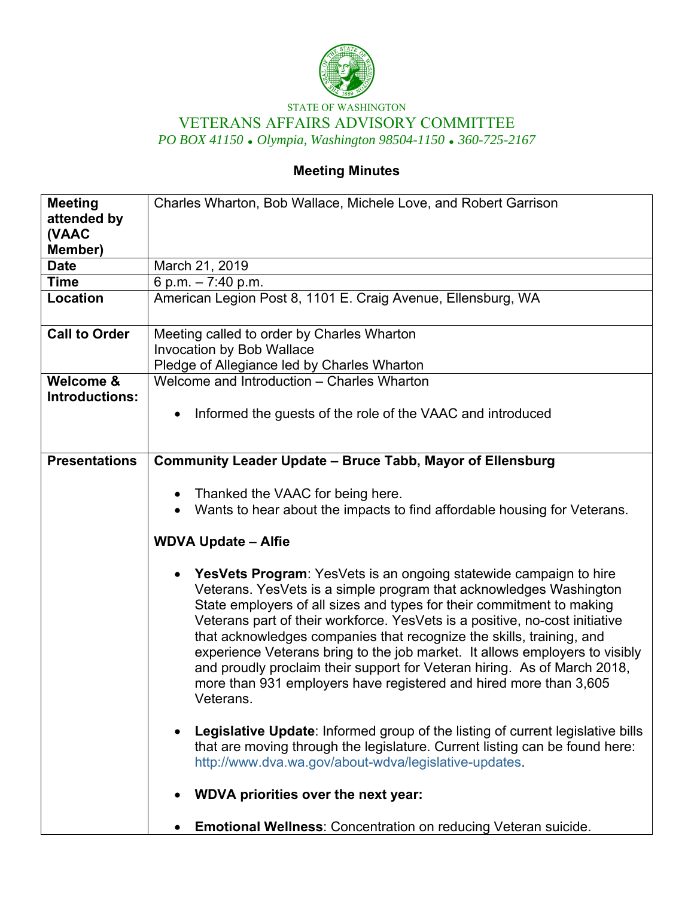

## STATE OF WASHINGTON VETERANS AFFAIRS ADVISORY COMMITTEE *PO BOX 41150 Olympia, Washington 98504-1150 360-725-2167*

## **Meeting Minutes**

| <b>Meeting</b><br>attended by<br>(VAAC<br>Member) | Charles Wharton, Bob Wallace, Michele Love, and Robert Garrison                                                                                                                                                                                                                                                                                                                                                                                                                                                                                                                                                                                                                                                                                                                                                                                                                                                                                                                                                             |
|---------------------------------------------------|-----------------------------------------------------------------------------------------------------------------------------------------------------------------------------------------------------------------------------------------------------------------------------------------------------------------------------------------------------------------------------------------------------------------------------------------------------------------------------------------------------------------------------------------------------------------------------------------------------------------------------------------------------------------------------------------------------------------------------------------------------------------------------------------------------------------------------------------------------------------------------------------------------------------------------------------------------------------------------------------------------------------------------|
| <b>Date</b>                                       | March 21, 2019                                                                                                                                                                                                                                                                                                                                                                                                                                                                                                                                                                                                                                                                                                                                                                                                                                                                                                                                                                                                              |
| <b>Time</b>                                       | 6 p.m. $-7:40$ p.m.                                                                                                                                                                                                                                                                                                                                                                                                                                                                                                                                                                                                                                                                                                                                                                                                                                                                                                                                                                                                         |
| <b>Location</b>                                   | American Legion Post 8, 1101 E. Craig Avenue, Ellensburg, WA                                                                                                                                                                                                                                                                                                                                                                                                                                                                                                                                                                                                                                                                                                                                                                                                                                                                                                                                                                |
| <b>Call to Order</b>                              | Meeting called to order by Charles Wharton<br><b>Invocation by Bob Wallace</b><br>Pledge of Allegiance led by Charles Wharton                                                                                                                                                                                                                                                                                                                                                                                                                                                                                                                                                                                                                                                                                                                                                                                                                                                                                               |
| Welcome &<br><b>Introductions:</b>                | Welcome and Introduction - Charles Wharton<br>Informed the guests of the role of the VAAC and introduced<br>$\bullet$                                                                                                                                                                                                                                                                                                                                                                                                                                                                                                                                                                                                                                                                                                                                                                                                                                                                                                       |
| <b>Presentations</b>                              | <b>Community Leader Update - Bruce Tabb, Mayor of Ellensburg</b>                                                                                                                                                                                                                                                                                                                                                                                                                                                                                                                                                                                                                                                                                                                                                                                                                                                                                                                                                            |
|                                                   | Thanked the VAAC for being here.<br>٠<br>Wants to hear about the impacts to find affordable housing for Veterans.<br><b>WDVA Update - Alfie</b><br>YesVets Program: YesVets is an ongoing statewide campaign to hire<br>$\bullet$<br>Veterans. YesVets is a simple program that acknowledges Washington<br>State employers of all sizes and types for their commitment to making<br>Veterans part of their workforce. YesVets is a positive, no-cost initiative<br>that acknowledges companies that recognize the skills, training, and<br>experience Veterans bring to the job market. It allows employers to visibly<br>and proudly proclaim their support for Veteran hiring. As of March 2018,<br>more than 931 employers have registered and hired more than 3,605<br>Veterans.<br>Legislative Update: Informed group of the listing of current legislative bills<br>$\bullet$<br>that are moving through the legislature. Current listing can be found here:<br>http://www.dva.wa.gov/about-wdva/legislative-updates. |
|                                                   | WDVA priorities over the next year:                                                                                                                                                                                                                                                                                                                                                                                                                                                                                                                                                                                                                                                                                                                                                                                                                                                                                                                                                                                         |
|                                                   | <b>Emotional Wellness: Concentration on reducing Veteran suicide.</b>                                                                                                                                                                                                                                                                                                                                                                                                                                                                                                                                                                                                                                                                                                                                                                                                                                                                                                                                                       |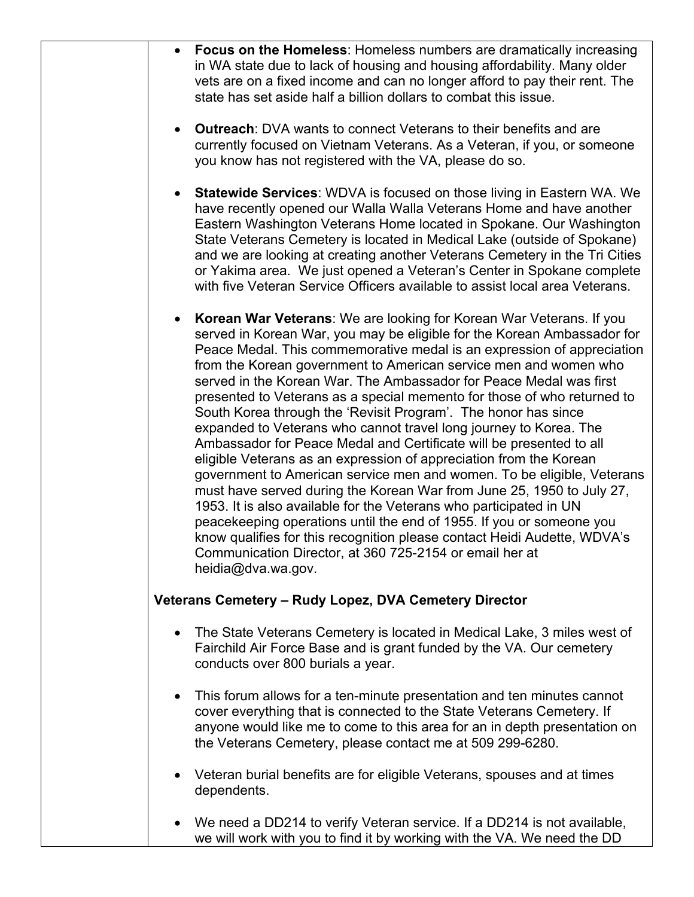|           | <b>Focus on the Homeless: Homeless numbers are dramatically increasing</b><br>in WA state due to lack of housing and housing affordability. Many older<br>vets are on a fixed income and can no longer afford to pay their rent. The<br>state has set aside half a billion dollars to combat this issue.                                                                                                                                                                                                                                                                                                                                                                                                                                                                                                                                                                                                                                                                                                                                                                                                                                                                                        |
|-----------|-------------------------------------------------------------------------------------------------------------------------------------------------------------------------------------------------------------------------------------------------------------------------------------------------------------------------------------------------------------------------------------------------------------------------------------------------------------------------------------------------------------------------------------------------------------------------------------------------------------------------------------------------------------------------------------------------------------------------------------------------------------------------------------------------------------------------------------------------------------------------------------------------------------------------------------------------------------------------------------------------------------------------------------------------------------------------------------------------------------------------------------------------------------------------------------------------|
| $\bullet$ | <b>Outreach:</b> DVA wants to connect Veterans to their benefits and are<br>currently focused on Vietnam Veterans. As a Veteran, if you, or someone<br>you know has not registered with the VA, please do so.                                                                                                                                                                                                                                                                                                                                                                                                                                                                                                                                                                                                                                                                                                                                                                                                                                                                                                                                                                                   |
| $\bullet$ | <b>Statewide Services: WDVA is focused on those living in Eastern WA. We</b><br>have recently opened our Walla Walla Veterans Home and have another<br>Eastern Washington Veterans Home located in Spokane. Our Washington<br>State Veterans Cemetery is located in Medical Lake (outside of Spokane)<br>and we are looking at creating another Veterans Cemetery in the Tri Cities<br>or Yakima area. We just opened a Veteran's Center in Spokane complete<br>with five Veteran Service Officers available to assist local area Veterans.                                                                                                                                                                                                                                                                                                                                                                                                                                                                                                                                                                                                                                                     |
| $\bullet$ | Korean War Veterans: We are looking for Korean War Veterans. If you<br>served in Korean War, you may be eligible for the Korean Ambassador for<br>Peace Medal. This commemorative medal is an expression of appreciation<br>from the Korean government to American service men and women who<br>served in the Korean War. The Ambassador for Peace Medal was first<br>presented to Veterans as a special memento for those of who returned to<br>South Korea through the 'Revisit Program'. The honor has since<br>expanded to Veterans who cannot travel long journey to Korea. The<br>Ambassador for Peace Medal and Certificate will be presented to all<br>eligible Veterans as an expression of appreciation from the Korean<br>government to American service men and women. To be eligible, Veterans<br>must have served during the Korean War from June 25, 1950 to July 27,<br>1953. It is also available for the Veterans who participated in UN<br>peacekeeping operations until the end of 1955. If you or someone you<br>know qualifies for this recognition please contact Heidi Audette, WDVA's<br>Communication Director, at 360 725-2154 or email her at<br>heidia@dva.wa.gov. |
|           | Veterans Cemetery - Rudy Lopez, DVA Cemetery Director                                                                                                                                                                                                                                                                                                                                                                                                                                                                                                                                                                                                                                                                                                                                                                                                                                                                                                                                                                                                                                                                                                                                           |
| $\bullet$ | The State Veterans Cemetery is located in Medical Lake, 3 miles west of<br>Fairchild Air Force Base and is grant funded by the VA. Our cemetery<br>conducts over 800 burials a year.                                                                                                                                                                                                                                                                                                                                                                                                                                                                                                                                                                                                                                                                                                                                                                                                                                                                                                                                                                                                            |
| $\bullet$ | This forum allows for a ten-minute presentation and ten minutes cannot<br>cover everything that is connected to the State Veterans Cemetery. If<br>anyone would like me to come to this area for an in depth presentation on<br>the Veterans Cemetery, please contact me at 509 299-6280.                                                                                                                                                                                                                                                                                                                                                                                                                                                                                                                                                                                                                                                                                                                                                                                                                                                                                                       |
|           | Veteran burial benefits are for eligible Veterans, spouses and at times<br>dependents.                                                                                                                                                                                                                                                                                                                                                                                                                                                                                                                                                                                                                                                                                                                                                                                                                                                                                                                                                                                                                                                                                                          |
|           | We need a DD214 to verify Veteran service. If a DD214 is not available,<br>we will work with you to find it by working with the VA. We need the DD                                                                                                                                                                                                                                                                                                                                                                                                                                                                                                                                                                                                                                                                                                                                                                                                                                                                                                                                                                                                                                              |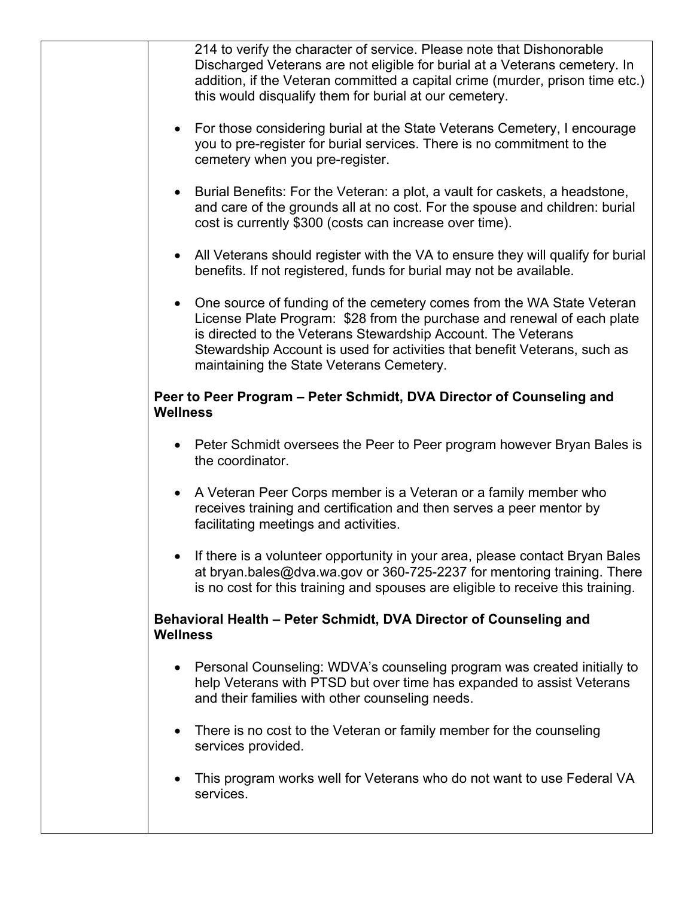| 214 to verify the character of service. Please note that Dishonorable<br>Discharged Veterans are not eligible for burial at a Veterans cemetery. In<br>addition, if the Veteran committed a capital crime (murder, prison time etc.)<br>this would disqualify them for burial at our cemetery.                                                          |
|---------------------------------------------------------------------------------------------------------------------------------------------------------------------------------------------------------------------------------------------------------------------------------------------------------------------------------------------------------|
| For those considering burial at the State Veterans Cemetery, I encourage<br>$\bullet$<br>you to pre-register for burial services. There is no commitment to the<br>cemetery when you pre-register.                                                                                                                                                      |
| Burial Benefits: For the Veteran: a plot, a vault for caskets, a headstone,<br>$\bullet$<br>and care of the grounds all at no cost. For the spouse and children: burial<br>cost is currently \$300 (costs can increase over time).                                                                                                                      |
| All Veterans should register with the VA to ensure they will qualify for burial<br>$\bullet$<br>benefits. If not registered, funds for burial may not be available.                                                                                                                                                                                     |
| One source of funding of the cemetery comes from the WA State Veteran<br>$\bullet$<br>License Plate Program: \$28 from the purchase and renewal of each plate<br>is directed to the Veterans Stewardship Account. The Veterans<br>Stewardship Account is used for activities that benefit Veterans, such as<br>maintaining the State Veterans Cemetery. |
| Peer to Peer Program - Peter Schmidt, DVA Director of Counseling and<br><b>Wellness</b>                                                                                                                                                                                                                                                                 |
| Peter Schmidt oversees the Peer to Peer program however Bryan Bales is<br>$\bullet$<br>the coordinator.                                                                                                                                                                                                                                                 |
| A Veteran Peer Corps member is a Veteran or a family member who<br>$\bullet$<br>receives training and certification and then serves a peer mentor by<br>facilitating meetings and activities.                                                                                                                                                           |
| If there is a volunteer opportunity in your area, please contact Bryan Bales<br>$\bullet$<br>at bryan.bales@dva.wa.gov or 360-725-2237 for mentoring training. There<br>is no cost for this training and spouses are eligible to receive this training.                                                                                                 |
| Behavioral Health - Peter Schmidt, DVA Director of Counseling and<br><b>Wellness</b>                                                                                                                                                                                                                                                                    |
| Personal Counseling: WDVA's counseling program was created initially to<br>$\bullet$<br>help Veterans with PTSD but over time has expanded to assist Veterans<br>and their families with other counseling needs.                                                                                                                                        |
| There is no cost to the Veteran or family member for the counseling<br>$\bullet$<br>services provided.                                                                                                                                                                                                                                                  |
| This program works well for Veterans who do not want to use Federal VA<br>services.                                                                                                                                                                                                                                                                     |
|                                                                                                                                                                                                                                                                                                                                                         |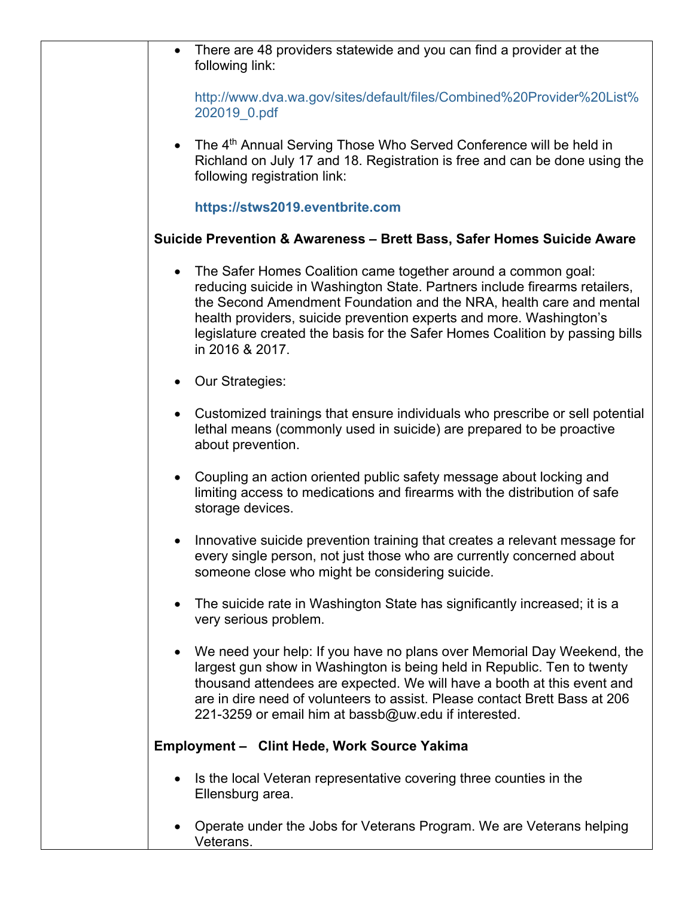| $\bullet$                                                              | There are 48 providers statewide and you can find a provider at the<br>following link:                                                                                                                                                                                                                                                                                                       |
|------------------------------------------------------------------------|----------------------------------------------------------------------------------------------------------------------------------------------------------------------------------------------------------------------------------------------------------------------------------------------------------------------------------------------------------------------------------------------|
|                                                                        | http://www.dva.wa.gov/sites/default/files/Combined%20Provider%20List%<br>202019_0.pdf                                                                                                                                                                                                                                                                                                        |
| $\bullet$                                                              | The 4 <sup>th</sup> Annual Serving Those Who Served Conference will be held in<br>Richland on July 17 and 18. Registration is free and can be done using the<br>following registration link:                                                                                                                                                                                                 |
|                                                                        | https://stws2019.eventbrite.com                                                                                                                                                                                                                                                                                                                                                              |
| Suicide Prevention & Awareness - Brett Bass, Safer Homes Suicide Aware |                                                                                                                                                                                                                                                                                                                                                                                              |
| $\bullet$                                                              | The Safer Homes Coalition came together around a common goal:<br>reducing suicide in Washington State. Partners include firearms retailers,<br>the Second Amendment Foundation and the NRA, health care and mental<br>health providers, suicide prevention experts and more. Washington's<br>legislature created the basis for the Safer Homes Coalition by passing bills<br>in 2016 & 2017. |
| $\bullet$                                                              | <b>Our Strategies:</b>                                                                                                                                                                                                                                                                                                                                                                       |
| $\bullet$                                                              | Customized trainings that ensure individuals who prescribe or sell potential<br>lethal means (commonly used in suicide) are prepared to be proactive<br>about prevention.                                                                                                                                                                                                                    |
| $\bullet$                                                              | Coupling an action oriented public safety message about locking and<br>limiting access to medications and firearms with the distribution of safe<br>storage devices.                                                                                                                                                                                                                         |
|                                                                        | Innovative suicide prevention training that creates a relevant message for<br>every single person, not just those who are currently concerned about<br>someone close who might be considering suicide.                                                                                                                                                                                       |
| $\bullet$                                                              | The suicide rate in Washington State has significantly increased; it is a<br>very serious problem.                                                                                                                                                                                                                                                                                           |
| $\bullet$                                                              | We need your help: If you have no plans over Memorial Day Weekend, the<br>largest gun show in Washington is being held in Republic. Ten to twenty<br>thousand attendees are expected. We will have a booth at this event and<br>are in dire need of volunteers to assist. Please contact Brett Bass at 206<br>221-3259 or email him at bassb@uw.edu if interested.                           |
|                                                                        | Employment - Clint Hede, Work Source Yakima                                                                                                                                                                                                                                                                                                                                                  |
| $\bullet$                                                              | Is the local Veteran representative covering three counties in the<br>Ellensburg area.                                                                                                                                                                                                                                                                                                       |
|                                                                        | Operate under the Jobs for Veterans Program. We are Veterans helping<br>Veterans.                                                                                                                                                                                                                                                                                                            |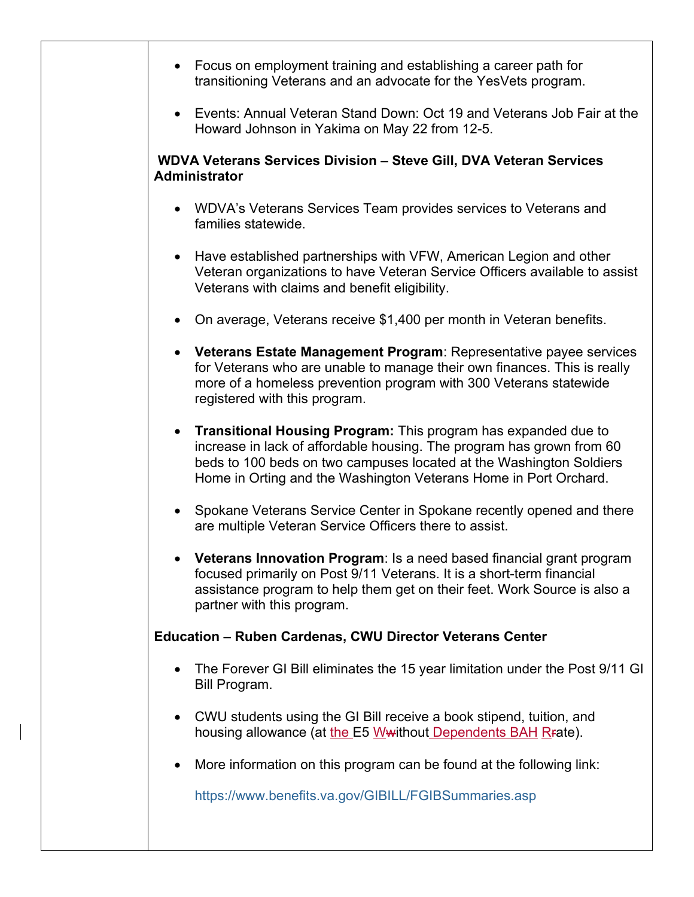|                                                                                                   | • Focus on employment training and establishing a career path for<br>transitioning Veterans and an advocate for the YesVets program.                                                                                                                                               |  |  |  |
|---------------------------------------------------------------------------------------------------|------------------------------------------------------------------------------------------------------------------------------------------------------------------------------------------------------------------------------------------------------------------------------------|--|--|--|
| $\bullet$                                                                                         | Events: Annual Veteran Stand Down: Oct 19 and Veterans Job Fair at the<br>Howard Johnson in Yakima on May 22 from 12-5.                                                                                                                                                            |  |  |  |
| <b>WDVA Veterans Services Division - Steve Gill, DVA Veteran Services</b><br><b>Administrator</b> |                                                                                                                                                                                                                                                                                    |  |  |  |
|                                                                                                   | • WDVA's Veterans Services Team provides services to Veterans and<br>families statewide.                                                                                                                                                                                           |  |  |  |
| $\bullet$                                                                                         | Have established partnerships with VFW, American Legion and other<br>Veteran organizations to have Veteran Service Officers available to assist<br>Veterans with claims and benefit eligibility.                                                                                   |  |  |  |
| $\bullet$                                                                                         | On average, Veterans receive \$1,400 per month in Veteran benefits.                                                                                                                                                                                                                |  |  |  |
| $\bullet$                                                                                         | Veterans Estate Management Program: Representative payee services<br>for Veterans who are unable to manage their own finances. This is really<br>more of a homeless prevention program with 300 Veterans statewide<br>registered with this program.                                |  |  |  |
| $\bullet$                                                                                         | Transitional Housing Program: This program has expanded due to<br>increase in lack of affordable housing. The program has grown from 60<br>beds to 100 beds on two campuses located at the Washington Soldiers<br>Home in Orting and the Washington Veterans Home in Port Orchard. |  |  |  |
| $\bullet$                                                                                         | Spokane Veterans Service Center in Spokane recently opened and there<br>are multiple Veteran Service Officers there to assist.                                                                                                                                                     |  |  |  |
|                                                                                                   | Veterans Innovation Program: Is a need based financial grant program<br>focused primarily on Post 9/11 Veterans. It is a short-term financial<br>assistance program to help them get on their feet. Work Source is also a<br>partner with this program.                            |  |  |  |
|                                                                                                   | <b>Education - Ruben Cardenas, CWU Director Veterans Center</b>                                                                                                                                                                                                                    |  |  |  |
| $\bullet$                                                                                         | The Forever GI Bill eliminates the 15 year limitation under the Post 9/11 GI<br>Bill Program.                                                                                                                                                                                      |  |  |  |
| ٠                                                                                                 | CWU students using the GI Bill receive a book stipend, tuition, and<br>housing allowance (at the E5 W without Dependents BAH R rate).                                                                                                                                              |  |  |  |
|                                                                                                   | More information on this program can be found at the following link:                                                                                                                                                                                                               |  |  |  |
|                                                                                                   | https://www.benefits.va.gov/GIBILL/FGIBSummaries.asp                                                                                                                                                                                                                               |  |  |  |

ı